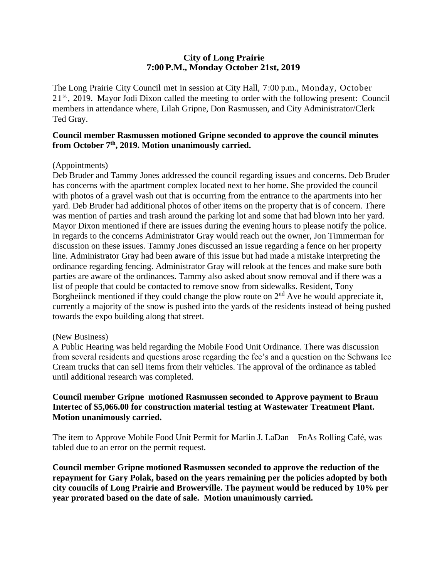## **City of Long Prairie 7:00P.M., Monday October 21st, 2019**

The Long Prairie City Council met in session at City Hall, 7:00 p.m., Monday, October 21<sup>st</sup>, 2019. Mayor Jodi Dixon called the meeting to order with the following present: Council members in attendance where, Lilah Gripne, Don Rasmussen, and City Administrator/Clerk Ted Gray.

## **Council member Rasmussen motioned Gripne seconded to approve the council minutes from October 7th, 2019. Motion unanimously carried.**

## (Appointments)

Deb Bruder and Tammy Jones addressed the council regarding issues and concerns. Deb Bruder has concerns with the apartment complex located next to her home. She provided the council with photos of a gravel wash out that is occurring from the entrance to the apartments into her yard. Deb Bruder had additional photos of other items on the property that is of concern. There was mention of parties and trash around the parking lot and some that had blown into her yard. Mayor Dixon mentioned if there are issues during the evening hours to please notify the police. In regards to the concerns Administrator Gray would reach out the owner, Jon Timmerman for discussion on these issues. Tammy Jones discussed an issue regarding a fence on her property line. Administrator Gray had been aware of this issue but had made a mistake interpreting the ordinance regarding fencing. Administrator Gray will relook at the fences and make sure both parties are aware of the ordinances. Tammy also asked about snow removal and if there was a list of people that could be contacted to remove snow from sidewalks. Resident, Tony Borgheiinck mentioned if they could change the plow route on  $2<sup>nd</sup>$  Ave he would appreciate it, currently a majority of the snow is pushed into the yards of the residents instead of being pushed towards the expo building along that street.

#### (New Business)

A Public Hearing was held regarding the Mobile Food Unit Ordinance. There was discussion from several residents and questions arose regarding the fee's and a question on the Schwans Ice Cream trucks that can sell items from their vehicles. The approval of the ordinance as tabled until additional research was completed.

### **Council member Gripne motioned Rasmussen seconded to Approve payment to Braun Intertec of \$5,066.00 for construction material testing at Wastewater Treatment Plant. Motion unanimously carried.**

The item to Approve Mobile Food Unit Permit for Marlin J. LaDan – FnAs Rolling Café, was tabled due to an error on the permit request.

**Council member Gripne motioned Rasmussen seconded to approve the reduction of the repayment for Gary Polak, based on the years remaining per the policies adopted by both city councils of Long Prairie and Browerville. The payment would be reduced by 10% per year prorated based on the date of sale. Motion unanimously carried.**